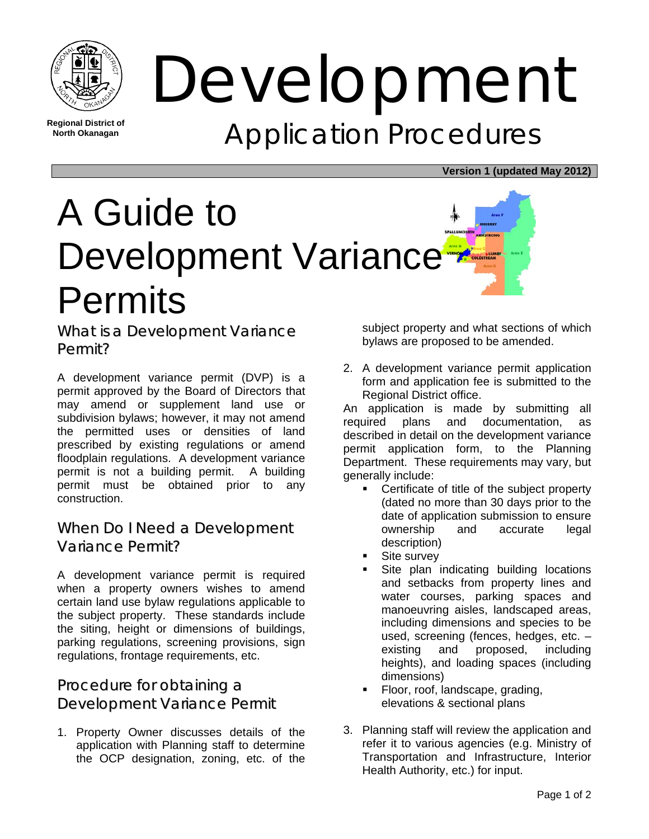

**Regional District of North Okanagan** 

# Development Application Procedures

#### **Version 1 (updated May 2012)**



What is a Development Variance Permit?

A development variance permit (DVP) is a permit approved by the Board of Directors that may amend or supplement land use or subdivision bylaws; however, it may not amend the permitted uses or densities of land prescribed by existing regulations or amend floodplain regulations. A development variance permit is not a building permit. A building permit must be obtained prior to any construction.

#### When Do I Need a Development Variance Permit?

A development variance permit is required when a property owners wishes to amend certain land use bylaw regulations applicable to the subject property. These standards include the siting, height or dimensions of buildings, parking regulations, screening provisions, sign regulations, frontage requirements, etc.

### Procedure for obtaining a Development Variance Permit

1. Property Owner discusses details of the application with Planning staff to determine the OCP designation, zoning, etc. of the

subject property and what sections of which bylaws are proposed to be amended.

2. A development variance permit application form and application fee is submitted to the Regional District office.

An application is made by submitting all required plans and documentation, as described in detail on the development variance permit application form, to the Planning Department. These requirements may vary, but generally include:

- **•** Certificate of title of the subject property (dated no more than 30 days prior to the date of application submission to ensure ownership and accurate legal description)
- Site survey
- Site plan indicating building locations and setbacks from property lines and water courses, parking spaces and manoeuvring aisles, landscaped areas, including dimensions and species to be used, screening (fences, hedges, etc. – existing and proposed, including heights), and loading spaces (including dimensions)
- Floor, roof, landscape, grading, elevations & sectional plans
- 3. Planning staff will review the application and refer it to various agencies (e.g. Ministry of Transportation and Infrastructure, Interior Health Authority, etc.) for input.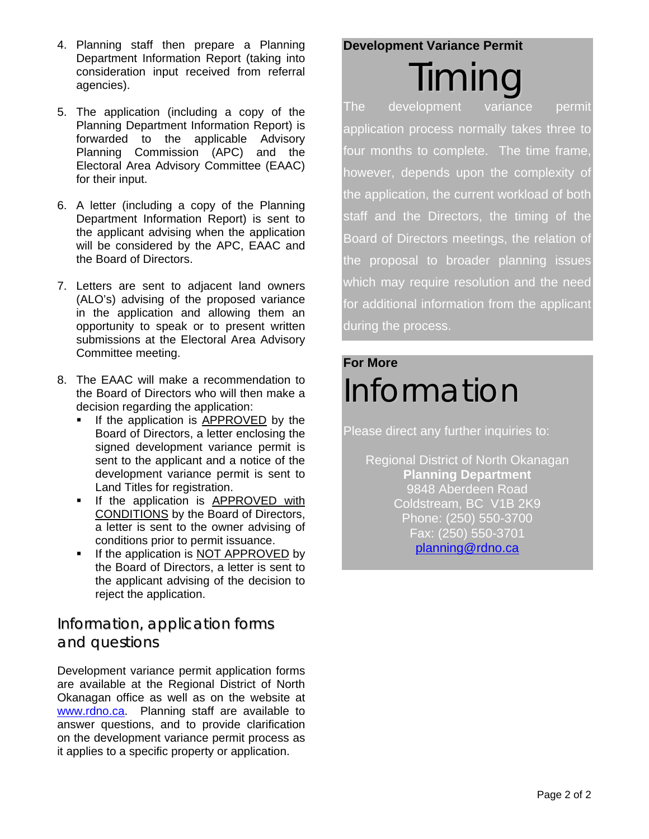- 4. Planning staff then prepare a Planning Department Information Report (taking into consideration input received from referral agencies).
- 5. The application (including a copy of the Planning Department Information Report) is forwarded to the applicable Advisory Planning Commission (APC) and the Electoral Area Advisory Committee (EAAC) for their input.
- 6. A letter (including a copy of the Planning Department Information Report) is sent to the applicant advising when the application will be considered by the APC, EAAC and the Board of Directors.
- 7. Letters are sent to adjacent land owners (ALO's) advising of the proposed variance in the application and allowing them an opportunity to speak or to present written submissions at the Electoral Area Advisory Committee meeting.
- 8. The EAAC will make a recommendation to the Board of Directors who will then make a decision regarding the application:
	- If the application is APPROVED by the Board of Directors, a letter enclosing the signed development variance permit is sent to the applicant and a notice of the development variance permit is sent to Land Titles for registration.
	- **If the application is APPROVED with** CONDITIONS by the Board of Directors, a letter is sent to the owner advising of conditions prior to permit issuance.
	- If the application is NOT APPROVED by the Board of Directors, a letter is sent to the applicant advising of the decision to reject the application.

#### Information, application forms and questions

Development variance permit application forms are available at the Regional District of North Okanagan office as well as on the website at www.rdno.ca. Planning staff are available to answer questions, and to provide clarification on the development variance permit process as it applies to a specific property or application.

#### **Development Variance Permit**

Timing The development variance permit application process normally takes three to four months to complete. The time frame, however, depends upon the complexity of the application, the current workload of both staff and the Directors, the timing of the Board of Directors meetings, the relation of the proposal to broader planning issues which may require resolution and the need for additional information from the applicant during the process.

# **For More**  Information

Please direct any further inquiries to:

Regional District of North Okanagan **Planning Department**  9848 Aberdeen Road Coldstream, BC V1B 2K9 Phone: (250) 550-3700 Fax: (250) 550-3701 planning@rdno.ca